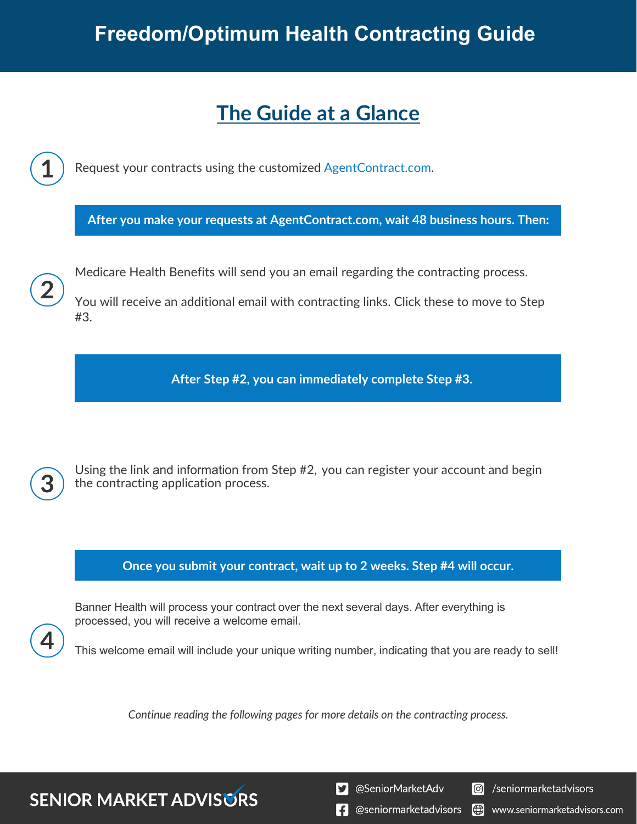# **Freedom/Optimum Health Contracting Guide**

# **The Guide at a Glance**

Request your contracts using the customized [AgentContract.com.](http://agentcontracting.com/)

**After you make your requests at AgentContract.com, wait 48 business hours. Then:**

Medicare Health Benefits will send you an email regarding the contracting process.

You will receive an additional email with contracting links. Click these to move to Step #3.

**After Step #2, you can immediately complete Step #3.** 

**SENIOR MARKET ADVISURS** 

Using the link and information from Step #2, you can register your account and begin the contracting application process.

### **Once you submit your contract, wait up to 2 weeks. Step #4 will occur.**

Banner Health will process your contract over the next several days. After everything is processed, you will receive a welcome email.

This welcome email will include your unique writing number, indicating that you are ready to sell!

*Continue reading the following pages for more details on the contracting process.* 

S @SeniorMarketAdv

Seniormarketadvisors

 $\left| \cdot \right|$  @seniormarketadvisors I (C) www.seniormarketadvisors.com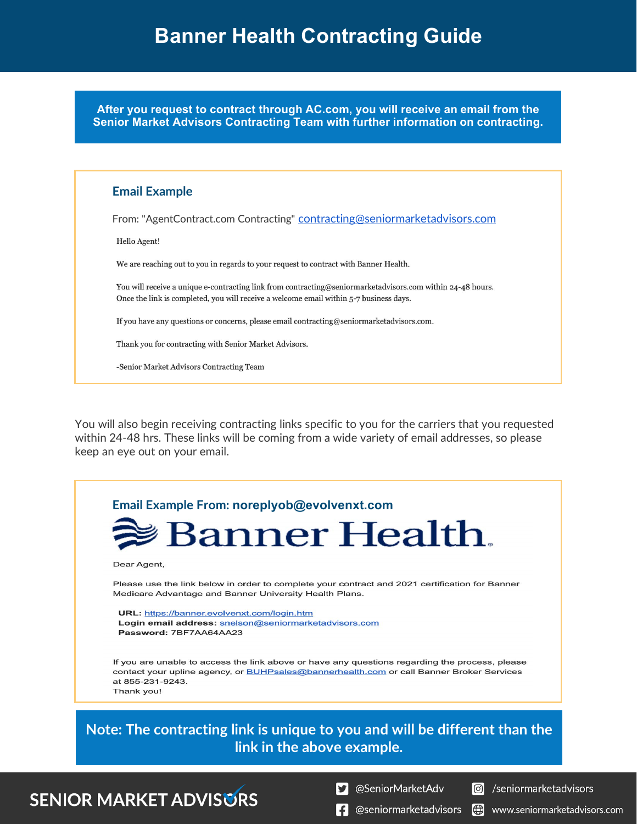**After you request to contract through AC.com, you will receive an email from the Senior Market Advisors Contracting Team with further information on contracting.**

### **Email Example**

From: "AgentContract.com Contracting" [contracting@seniormarketadvisors.com](mailto:contracting@seniormarketadvisors.com)

Hello Agent!

We are reaching out to you in regards to your request to contract with Banner Health.

You will receive a unique e-contracting link from contracting@seniormarketadvisors.com within 24-48 hours. Once the link is completed, you will receive a welcome email within 5-7 business days.

If you have any questions or concerns, please email contracting@seniormarketadvisors.com.

Thank you for contracting with Senior Market Advisors.

-Senior Market Advisors Contracting Team

You will also begin receiving contracting links specific to you for the carriers that you requested within 24-48 hrs. These links will be coming from a wide variety of email addresses, so please keep an eye out on your email.



 $\left| \cdot \right|$  @seniormarketadvisors

Io www.seniormarketadvisors.com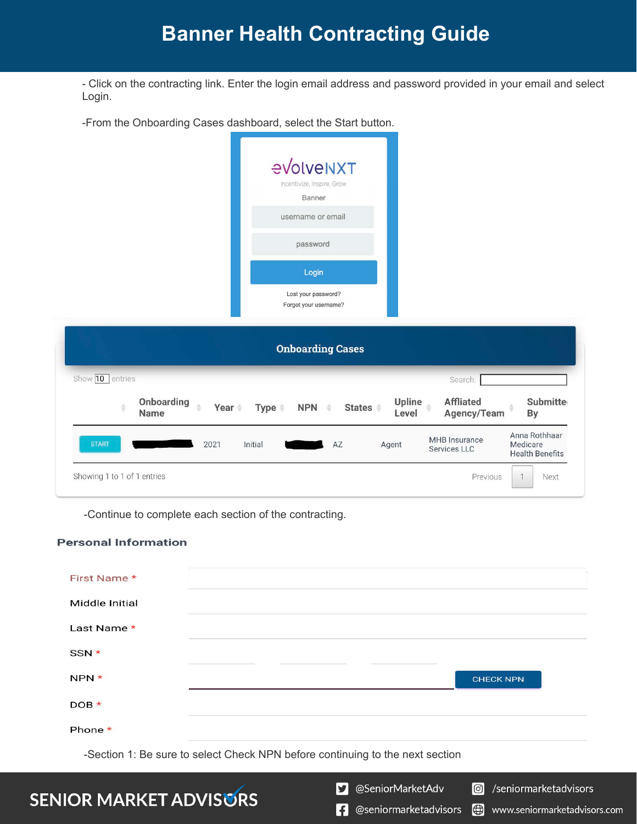# **Banner Health Contracting Guide**

- Click on the contracting link. Enter the login email address and password provided in your email and select Login.

-From the Onboarding Cases dashboard, select the Start button.

|                                               | evolveNXT<br>Incentivize, Inspire, Grow<br>Banner      |                                                                                                      |  |  |  |  |  |
|-----------------------------------------------|--------------------------------------------------------|------------------------------------------------------------------------------------------------------|--|--|--|--|--|
|                                               | username or email                                      |                                                                                                      |  |  |  |  |  |
|                                               | password                                               |                                                                                                      |  |  |  |  |  |
|                                               | Login                                                  |                                                                                                      |  |  |  |  |  |
|                                               | Lost your password?<br>Forgot your username?           |                                                                                                      |  |  |  |  |  |
| <b>Onboarding Cases</b>                       |                                                        |                                                                                                      |  |  |  |  |  |
| Show $\boxed{10}$ entries                     |                                                        | Search:                                                                                              |  |  |  |  |  |
| Onboarding<br>š<br>à<br>Year #<br><b>Name</b> | NPN $\triangleq$<br><b>States</b><br>Type $\triangleq$ | <b>Affliated</b><br><b>Submitte</b><br>Upline<br>Agency/Team<br>Level<br>By                          |  |  |  |  |  |
| <b>START</b><br>2021                          | Initial<br>AZ                                          | Anna Rothhaar<br><b>MHB</b> Insurance<br>Medicare<br>Agent<br>Services LLC<br><b>Health Benefits</b> |  |  |  |  |  |
| Showing 1 to 1 of 1 entries                   |                                                        | Previous<br>Next                                                                                     |  |  |  |  |  |

-Continue to complete each section of the contracting.

#### **Personal Information**

| First Name *      |                                                                               |  |
|-------------------|-------------------------------------------------------------------------------|--|
| Middle Initial    |                                                                               |  |
| Last Name $\star$ |                                                                               |  |
| SSN *             |                                                                               |  |
| NPN *             | <b>CHECK NPN</b>                                                              |  |
| $DOB*$            |                                                                               |  |
| Phone *           |                                                                               |  |
|                   | -Section 1: Be sure to select Check NPN before continuing to the next section |  |

- **SENIOR MARKET ADVISURS**
- S @SeniorMarketAdv

 $\boxed{\textcircled{\;}}$ /seniormarketadvisors

www.seniormarketadvisors.com

 $\bigoplus$ 

**f** @seniormarketadvisors